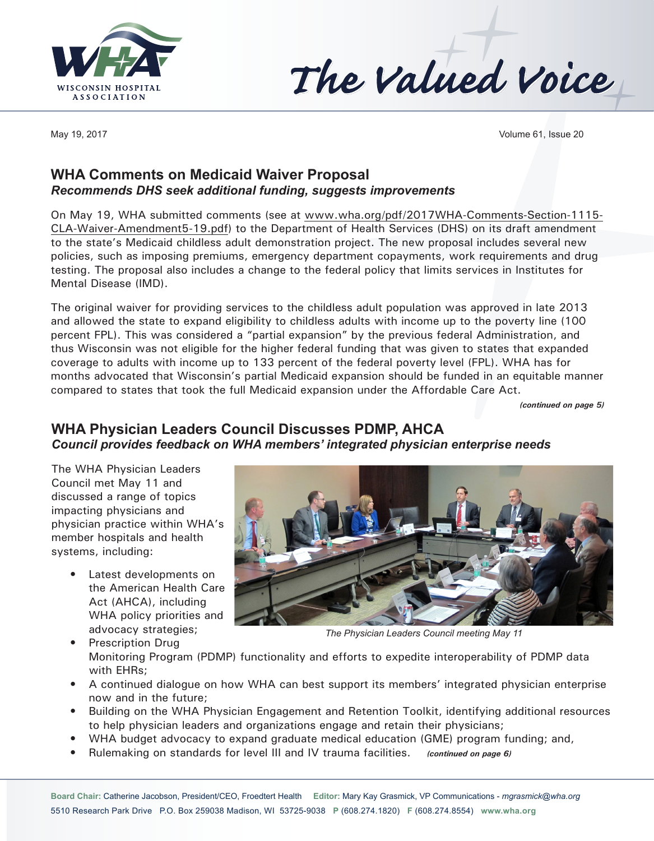



May 19, 2017 Volume 61, Issue 20

# **WHA Comments on Medicaid Waiver Proposal**  *Recommends DHS seek additional funding, suggests improvements*

On May 19, WHA submitted comments (see at [www.wha.org/pdf/2017WHA-Comments-Section-1115-](http://www.wha.org/pdf/2017WHA-Comments-Section-1115-CLA-Waiver-Amendment5-19.pdf) [CLA-Waiver-Amendment5-19.pdf\)](http://www.wha.org/pdf/2017WHA-Comments-Section-1115-CLA-Waiver-Amendment5-19.pdf) to the Department of Health Services (DHS) on its draft amendment to the state's Medicaid childless adult demonstration project. The new proposal includes several new policies, such as imposing premiums, emergency department copayments, work requirements and drug testing. The proposal also includes a change to the federal policy that limits services in Institutes for Mental Disease (IMD).

The original waiver for providing services to the childless adult population was approved in late 2013 and allowed the state to expand eligibility to childless adults with income up to the poverty line (100 percent FPL). This was considered a "partial expansion" by the previous federal Administration, and thus Wisconsin was not eligible for the higher federal funding that was given to states that expanded coverage to adults with income up to 133 percent of the federal poverty level (FPL). WHA has for months advocated that Wisconsin's partial Medicaid expansion should be funded in an equitable manner compared to states that took the full Medicaid expansion under the Affordable Care Act.

*(continued on page 5)*

# **WHA Physician Leaders Council Discusses PDMP, AHCA** *Council provides feedback on WHA members' integrated physician enterprise needs*

The WHA Physician Leaders Council met May 11 and discussed a range of topics impacting physicians and physician practice within WHA's member hospitals and health systems, including:

- Latest developments on the American Health Care Act (AHCA), including WHA policy priorities and advocacy strategies;
- Prescription Drug *The Physician Leaders Council meeting May 11*
- Monitoring Program (PDMP) functionality and efforts to expedite interoperability of PDMP data with EHRs;
- A continued dialogue on how WHA can best support its members' integrated physician enterprise now and in the future;
- Building on the WHA Physician Engagement and Retention Toolkit, identifying additional resources to help physician leaders and organizations engage and retain their physicians;
- WHA budget advocacy to expand graduate medical education (GME) program funding; and,
- Rulemaking on standards for level III and IV trauma facilities. *(continued on page 6)*

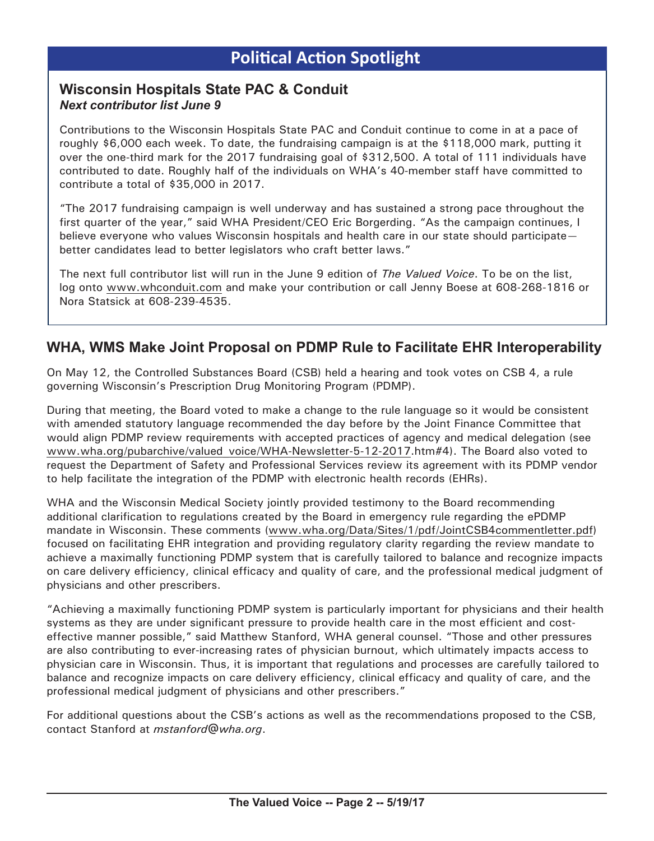## **Wisconsin Hospitals State PAC & Conduit**  *Next contributor list June 9*

Contributions to the Wisconsin Hospitals State PAC and Conduit continue to come in at a pace of roughly \$6,000 each week. To date, the fundraising campaign is at the \$118,000 mark, putting it over the one-third mark for the 2017 fundraising goal of \$312,500. A total of 111 individuals have contributed to date. Roughly half of the individuals on WHA's 40-member staff have committed to contribute a total of \$35,000 in 2017.

"The 2017 fundraising campaign is well underway and has sustained a strong pace throughout the first quarter of the year," said WHA President/CEO Eric Borgerding. "As the campaign continues, I believe everyone who values Wisconsin hospitals and health care in our state should participate – better candidates lead to better legislators who craft better laws."

The next full contributor list will run in the June 9 edition of *The Valued Voice*. To be on the list, log onto [www.whconduit.com](http://www.whconduit.com) and make your contribution or call Jenny Boese at 608-268-1816 or Nora Statsick at 608-239-4535.

# **WHA, WMS Make Joint Proposal on PDMP Rule to Facilitate EHR Interoperability**

On May 12, the Controlled Substances Board (CSB) held a hearing and took votes on CSB 4, a rule governing Wisconsin's Prescription Drug Monitoring Program (PDMP).

During that meeting, the Board voted to make a change to the rule language so it would be consistent with amended statutory language recommended the day before by the Joint Finance Committee that would align PDMP review requirements with accepted practices of agency and medical delegation (see [www.wha.org/pubarchive/valued\\_voice/WHA-Newsletter-5-12-2017.htm](www.wha.org/pubarchive/valued_voice/WHA-Newsletter-5-12-2017.htm#4)#4). The Board also voted to request the Department of Safety and Professional Services review its agreement with its PDMP vendor to help facilitate the integration of the PDMP with electronic health records (EHRs).

WHA and the Wisconsin Medical Society jointly provided testimony to the Board recommending additional clarification to regulations created by the Board in emergency rule regarding the ePDMP mandate in Wisconsin. These comments ([www.wha.org/Data/Sites/1/pdf/JointCSB4commentletter.pdf](http://www.wha.org/Data/Sites/1/pdf/JointCSB4commentletter.pdf)) focused on facilitating EHR integration and providing regulatory clarity regarding the review mandate to achieve a maximally functioning PDMP system that is carefully tailored to balance and recognize impacts on care delivery efficiency, clinical efficacy and quality of care, and the professional medical judgment of physicians and other prescribers.

"Achieving a maximally functioning PDMP system is particularly important for physicians and their health systems as they are under significant pressure to provide health care in the most efficient and costeffective manner possible," said Matthew Stanford, WHA general counsel. "Those and other pressures are also contributing to ever-increasing rates of physician burnout, which ultimately impacts access to physician care in Wisconsin. Thus, it is important that regulations and processes are carefully tailored to balance and recognize impacts on care delivery efficiency, clinical efficacy and quality of care, and the professional medical judgment of physicians and other prescribers."

For additional questions about the CSB's actions as well as the recommendations proposed to the CSB, contact Stanford at *[mstanford@wha.org](mailto:mstanford@wha.org)*.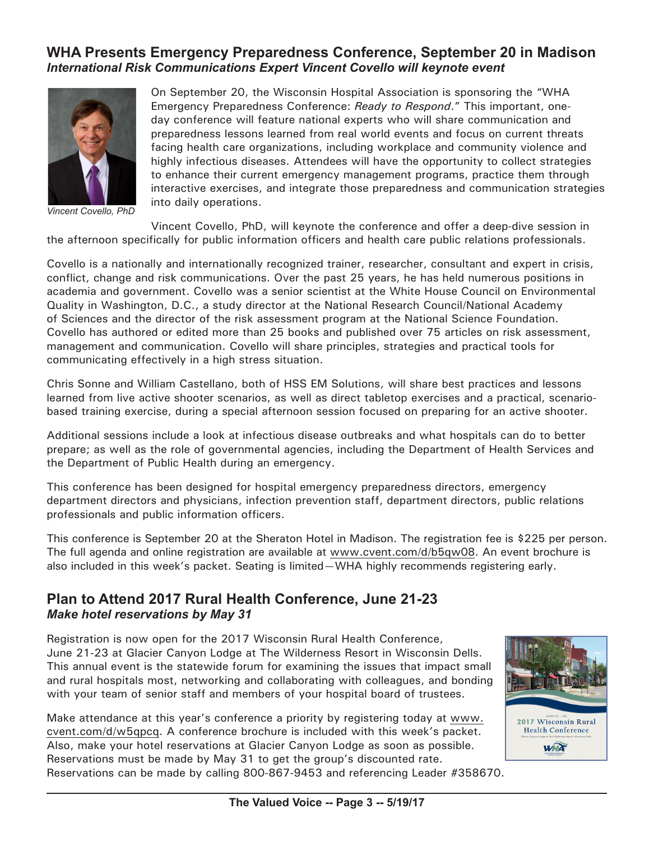## **WHA Presents Emergency Preparedness Conference, September 20 in Madison** *International Risk Communications Expert Vincent Covello will keynote event*



*Vincent Covello, PhD*

On September 20, the Wisconsin Hospital Association is sponsoring the "WHA Emergency Preparedness Conference: *Ready to Respond*." This important, oneday conference will feature national experts who will share communication and preparedness lessons learned from real world events and focus on current threats facing health care organizations, including workplace and community violence and highly infectious diseases. Attendees will have the opportunity to collect strategies to enhance their current emergency management programs, practice them through interactive exercises, and integrate those preparedness and communication strategies into daily operations.

Vincent Covello, PhD, will keynote the conference and offer a deep-dive session in the afternoon specifically for public information officers and health care public relations professionals.

Covello is a nationally and internationally recognized trainer, researcher, consultant and expert in crisis, conflict, change and risk communications. Over the past 25 years, he has held numerous positions in academia and government. Covello was a senior scientist at the White House Council on Environmental Quality in Washington, D.C., a study director at the National Research Council/National Academy of Sciences and the director of the risk assessment program at the National Science Foundation. Covello has authored or edited more than 25 books and published over 75 articles on risk assessment, management and communication. Covello will share principles, strategies and practical tools for communicating effectively in a high stress situation.

Chris Sonne and William Castellano, both of HSS EM Solutions, will share best practices and lessons learned from live active shooter scenarios, as well as direct tabletop exercises and a practical, scenariobased training exercise, during a special afternoon session focused on preparing for an active shooter.

Additional sessions include a look at infectious disease outbreaks and what hospitals can do to better prepare; as well as the role of governmental agencies, including the Department of Health Services and the Department of Public Health during an emergency.

This conference has been designed for hospital emergency preparedness directors, emergency department directors and physicians, infection prevention staff, department directors, public relations professionals and public information officers.

This conference is September 20 at the Sheraton Hotel in Madison. The registration fee is \$225 per person. The full agenda and online registration are available at [www.cvent.com](www.cvent.com/d/b5qw08)/d/b5qw08. An event brochure is also included in this week's packet. Seating is limited—WHA highly recommends registering early.

#### **Plan to Attend 2017 Rural Health Conference, June 21-23** *Make hotel reservations by May 31*

Registration is now open for the 2017 Wisconsin Rural Health Conference, June 21-23 at Glacier Canyon Lodge at The Wilderness Resort in Wisconsin Dells. This annual event is the statewide forum for examining the issues that impact small and rural hospitals most, networking and collaborating with colleagues, and bonding with your team of senior staff and members of your hospital board of trustees.

Make attendance at this year's conference a priority by registering today at [www.](www.cvent.com/d/w5qpcq) [cvent.com/](www.cvent.com/d/w5qpcq)d/w5qpcq. A conference brochure is included with this week's packet. Also, make your hotel reservations at Glacier Canyon Lodge as soon as possible. Reservations must be made by May 31 to get the group's discounted rate. Reservations can be made by calling 800-867-9453 and referencing Leader #358670.

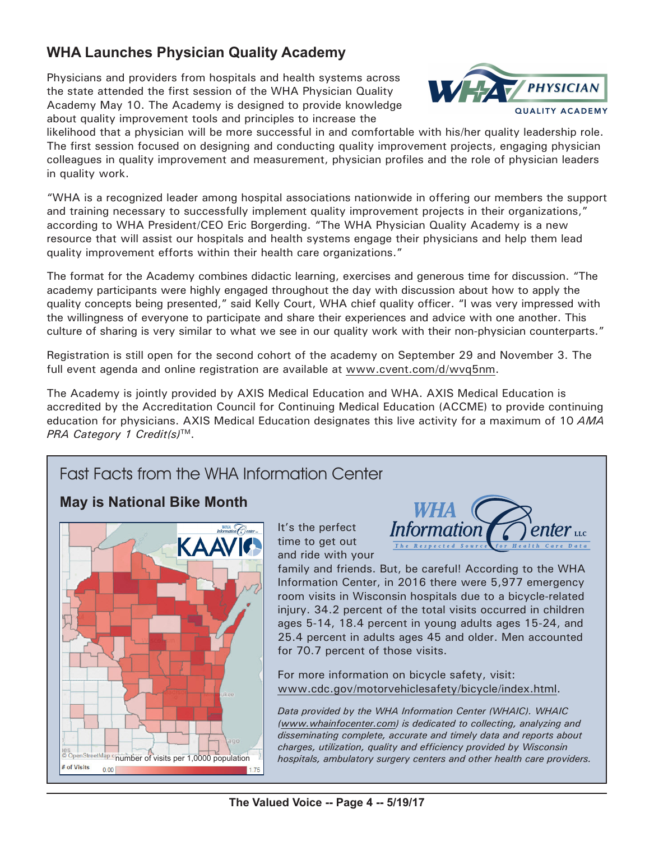# **WHA Launches Physician Quality Academy**

Physicians and providers from hospitals and health systems across the state attended the first session of the WHA Physician Quality Academy May 10. The Academy is designed to provide knowledge about quality improvement tools and principles to increase the



likelihood that a physician will be more successful in and comfortable with his/her quality leadership role. The first session focused on designing and conducting quality improvement projects, engaging physician colleagues in quality improvement and measurement, physician profiles and the role of physician leaders in quality work.

"WHA is a recognized leader among hospital associations nationwide in offering our members the support and training necessary to successfully implement quality improvement projects in their organizations," according to WHA President/CEO Eric Borgerding. "The WHA Physician Quality Academy is a new resource that will assist our hospitals and health systems engage their physicians and help them lead quality improvement efforts within their health care organizations."

The format for the Academy combines didactic learning, exercises and generous time for discussion. "The academy participants were highly engaged throughout the day with discussion about how to apply the quality concepts being presented," said Kelly Court, WHA chief quality officer. "I was very impressed with the willingness of everyone to participate and share their experiences and advice with one another. This culture of sharing is very similar to what we see in our quality work with their non-physician counterparts."

Registration is still open for the second cohort of the academy on September 29 and November 3. The full event agenda and online registration are available at [www.cvent.com/d/wvq5](www.cvent.com/d/wvq5nm)nm.

The Academy is jointly provided by AXIS Medical Education and WHA. AXIS Medical Education is accredited by the Accreditation Council for Continuing Medical Education (ACCME) to provide continuing education for physicians. AXIS Medical Education designates this live activity for a maximum of 10 *AMA PRA Category 1 Credit(s)™.* 

# Fast Facts from the WHA Information Center

# **May is National Bike Month**



It's the perfect time to get out and ride with your



family and friends. But, be careful! According to the WHA Information Center, in 2016 there were 5,977 emergency room visits in Wisconsin hospitals due to a bicycle-related injury. 34.2 percent of the total visits occurred in children ages 5-14, 18.4 percent in young adults ages 15-24, and 25.4 percent in adults ages 45 and older. Men accounted for 70.7 percent of those visits.

For more information on bicycle safety, visit: [www.cdc.gov/motorvehiclesafety/bicycle/index.html.](http://www.cdc.gov/motorvehiclesafety/bicycle/index.html)

*Data provided by the WHA Information Center (WHAIC). WHAIC ([www.whainfocenter.com](http://www.whainfocenter.com)) is dedicated to collecting, analyzing and disseminating complete, accurate and timely data and reports about charges, utilization, quality and efficiency provided by Wisconsin*  **DOPERSTREETMAP CRIMINGER OF VISIts per 1,0000 population** *hospitals, ambulatory surgery centers and other health care providers.***<br># of Visits 0,000 compared 175**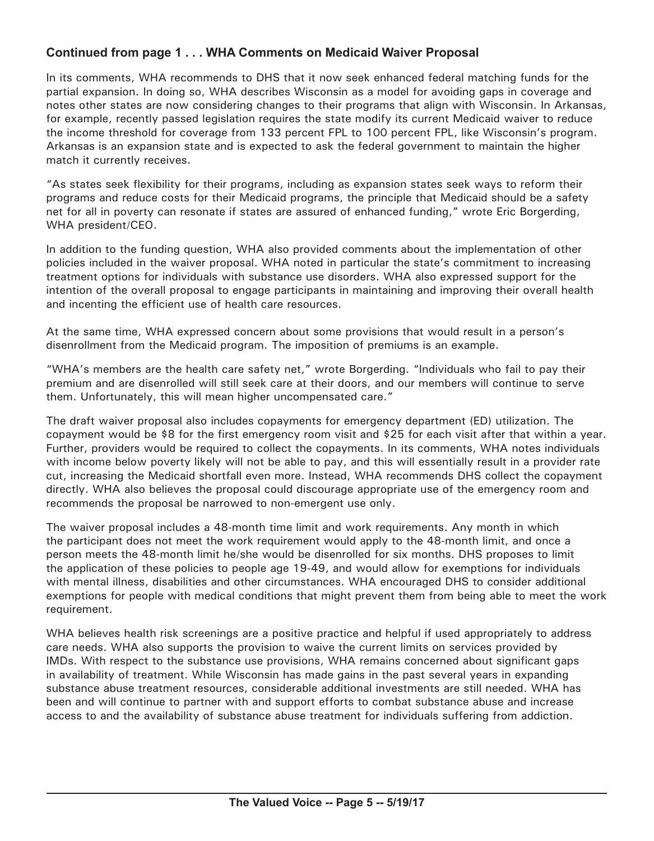#### **Continued from page 1 . . . WHA Comments on Medicaid Waiver Proposal**

In its comments, WHA recommends to DHS that it now seek enhanced federal matching funds for the partial expansion. In doing so, WHA describes Wisconsin as a model for avoiding gaps in coverage and notes other states are now considering changes to their programs that align with Wisconsin. In Arkansas, for example, recently passed legislation requires the state modify its current Medicaid waiver to reduce the income threshold for coverage from 133 percent FPL to 100 percent FPL, like Wisconsin's program. Arkansas is an expansion state and is expected to ask the federal government to maintain the higher match it currently receives.

"As states seek flexibility for their programs, including as expansion states seek ways to reform their programs and reduce costs for their Medicaid programs, the principle that Medicaid should be a safety net for all in poverty can resonate if states are assured of enhanced funding," wrote Eric Borgerding, WHA president/CEO.

In addition to the funding question, WHA also provided comments about the implementation of other policies included in the waiver proposal. WHA noted in particular the state's commitment to increasing treatment options for individuals with substance use disorders. WHA also expressed support for the intention of the overall proposal to engage participants in maintaining and improving their overall health and incenting the efficient use of health care resources.

At the same time, WHA expressed concern about some provisions that would result in a person's disenrollment from the Medicaid program. The imposition of premiums is an example.

"WHA's members are the health care safety net," wrote Borgerding. "Individuals who fail to pay their premium and are disenrolled will still seek care at their doors, and our members will continue to serve them. Unfortunately, this will mean higher uncompensated care."

The draft waiver proposal also includes copayments for emergency department (ED) utilization. The copayment would be \$8 for the first emergency room visit and \$25 for each visit after that within a year. Further, providers would be required to collect the copayments. In its comments, WHA notes individuals with income below poverty likely will not be able to pay, and this will essentially result in a provider rate cut, increasing the Medicaid shortfall even more. Instead, WHA recommends DHS collect the copayment directly. WHA also believes the proposal could discourage appropriate use of the emergency room and recommends the proposal be narrowed to non-emergent use only.

The waiver proposal includes a 48-month time limit and work requirements. Any month in which the participant does not meet the work requirement would apply to the 48-month limit, and once a person meets the 48-month limit he/she would be disenrolled for six months. DHS proposes to limit the application of these policies to people age 19-49, and would allow for exemptions for individuals with mental illness, disabilities and other circumstances. WHA encouraged DHS to consider additional exemptions for people with medical conditions that might prevent them from being able to meet the work requirement.

WHA believes health risk screenings are a positive practice and helpful if used appropriately to address care needs. WHA also supports the provision to waive the current limits on services provided by IMDs. With respect to the substance use provisions, WHA remains concerned about significant gaps in availability of treatment. While Wisconsin has made gains in the past several years in expanding substance abuse treatment resources, considerable additional investments are still needed. WHA has been and will continue to partner with and support efforts to combat substance abuse and increase access to and the availability of substance abuse treatment for individuals suffering from addiction.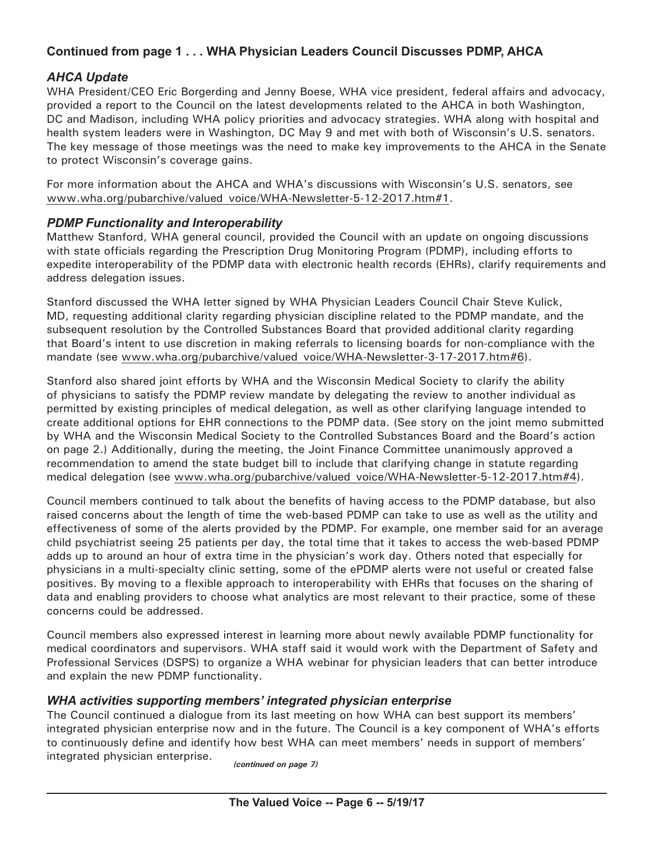#### **Continued from page 1 . . . WHA Physician Leaders Council Discusses PDMP, AHCA**

#### *AHCA Update*

WHA President/CEO Eric Borgerding and Jenny Boese, WHA vice president, federal affairs and advocacy, provided a report to the Council on the latest developments related to the AHCA in both Washington, DC and Madison, including WHA policy priorities and advocacy strategies. WHA along with hospital and health system leaders were in Washington, DC May 9 and met with both of Wisconsin's U.S. senators. The key message of those meetings was the need to make key improvements to the AHCA in the Senate to protect Wisconsin's coverage gains.

For more information about the AHCA and WHA's discussions with Wisconsin's U.S. senators, see [www.wha.org/pubarchive/valued\\_voice/WHA-Newsletter-5-12-2017.htm](www.wha.org/pubarchive/valued_voice/WHA-Newsletter-5-12-2017.htm#1)#1.

#### *PDMP Functionality and Interoperability*

Matthew Stanford, WHA general council, provided the Council with an update on ongoing discussions with state officials regarding the Prescription Drug Monitoring Program (PDMP), including efforts to expedite interoperability of the PDMP data with electronic health records (EHRs), clarify requirements and address delegation issues.

Stanford discussed the WHA letter signed by WHA Physician Leaders Council Chair Steve Kulick, MD, requesting additional clarity regarding physician discipline related to the PDMP mandate, and the subsequent resolution by the Controlled Substances Board that provided additional clarity regarding that Board's intent to use discretion in making referrals to licensing boards for non-compliance with the mandate (see [www.wha.org/pubarchive/valued\\_voice/WHA-Newsletter-3-17-2017.htm](www.wha.org/pubarchive/valued_voice/WHA-Newsletter-3-17-2017.htm#6)#6).

Stanford also shared joint efforts by WHA and the Wisconsin Medical Society to clarify the ability of physicians to satisfy the PDMP review mandate by delegating the review to another individual as permitted by existing principles of medical delegation, as well as other clarifying language intended to create additional options for EHR connections to the PDMP data. (See story on the joint memo submitted by WHA and the Wisconsin Medical Society to the Controlled Substances Board and the Board's action on page 2.) Additionally, during the meeting, the Joint Finance Committee unanimously approved a recommendation to amend the state budget bill to include that clarifying change in statute regarding medical delegation (see www.wha.org/pubarchive/valued voice/WHA-Newsletter-5-12-2017.htm#4).

Council members continued to talk about the benefits of having access to the PDMP database, but also raised concerns about the length of time the web-based PDMP can take to use as well as the utility and effectiveness of some of the alerts provided by the PDMP. For example, one member said for an average child psychiatrist seeing 25 patients per day, the total time that it takes to access the web-based PDMP adds up to around an hour of extra time in the physician's work day. Others noted that especially for physicians in a multi-specialty clinic setting, some of the ePDMP alerts were not useful or created false positives. By moving to a flexible approach to interoperability with EHRs that focuses on the sharing of data and enabling providers to choose what analytics are most relevant to their practice, some of these concerns could be addressed.

Council members also expressed interest in learning more about newly available PDMP functionality for medical coordinators and supervisors. WHA staff said it would work with the Department of Safety and Professional Services (DSPS) to organize a WHA webinar for physician leaders that can better introduce and explain the new PDMP functionality.

#### *WHA activities supporting members' integrated physician enterprise*

The Council continued a dialogue from its last meeting on how WHA can best support its members' integrated physician enterprise now and in the future. The Council is a key component of WHA's efforts to continuously define and identify how best WHA can meet members' needs in support of members' integrated physician enterprise. *(continued on page 7)*